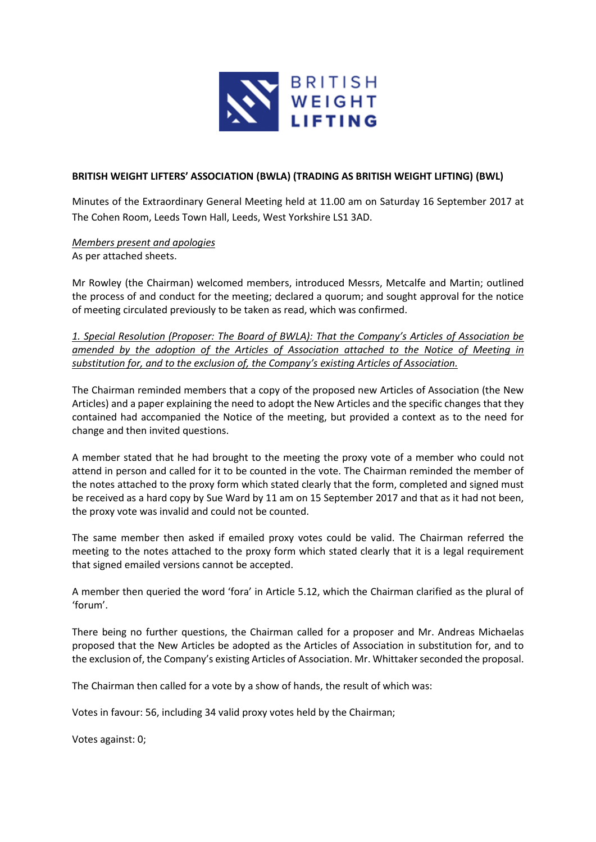

## **BRITISH WEIGHT LIFTERS' ASSOCIATION (BWLA) (TRADING AS BRITISH WEIGHT LIFTING) (BWL)**

Minutes of the Extraordinary General Meeting held at 11.00 am on Saturday 16 September 2017 at The Cohen Room, Leeds Town Hall, Leeds, West Yorkshire LS1 3AD.

*Members present and apologies* As per attached sheets.

Mr Rowley (the Chairman) welcomed members, introduced Messrs, Metcalfe and Martin; outlined the process of and conduct for the meeting; declared a quorum; and sought approval for the notice of meeting circulated previously to be taken as read, which was confirmed.

*1. Special Resolution (Proposer: The Board of BWLA): That the Company's Articles of Association be amended by the adoption of the Articles of Association attached to the Notice of Meeting in substitution for, and to the exclusion of, the Company's existing Articles of Association.*

The Chairman reminded members that a copy of the proposed new Articles of Association (the New Articles) and a paper explaining the need to adopt the New Articles and the specific changes that they contained had accompanied the Notice of the meeting, but provided a context as to the need for change and then invited questions.

A member stated that he had brought to the meeting the proxy vote of a member who could not attend in person and called for it to be counted in the vote. The Chairman reminded the member of the notes attached to the proxy form which stated clearly that the form, completed and signed must be received as a hard copy by Sue Ward by 11 am on 15 September 2017 and that as it had not been, the proxy vote was invalid and could not be counted.

The same member then asked if emailed proxy votes could be valid. The Chairman referred the meeting to the notes attached to the proxy form which stated clearly that it is a legal requirement that signed emailed versions cannot be accepted.

A member then queried the word 'fora' in Article 5.12, which the Chairman clarified as the plural of 'forum'.

There being no further questions, the Chairman called for a proposer and Mr. Andreas Michaelas proposed that the New Articles be adopted as the Articles of Association in substitution for, and to the exclusion of, the Company's existing Articles of Association. Mr. Whittaker seconded the proposal.

The Chairman then called for a vote by a show of hands, the result of which was:

Votes in favour: 56, including 34 valid proxy votes held by the Chairman;

Votes against: 0;